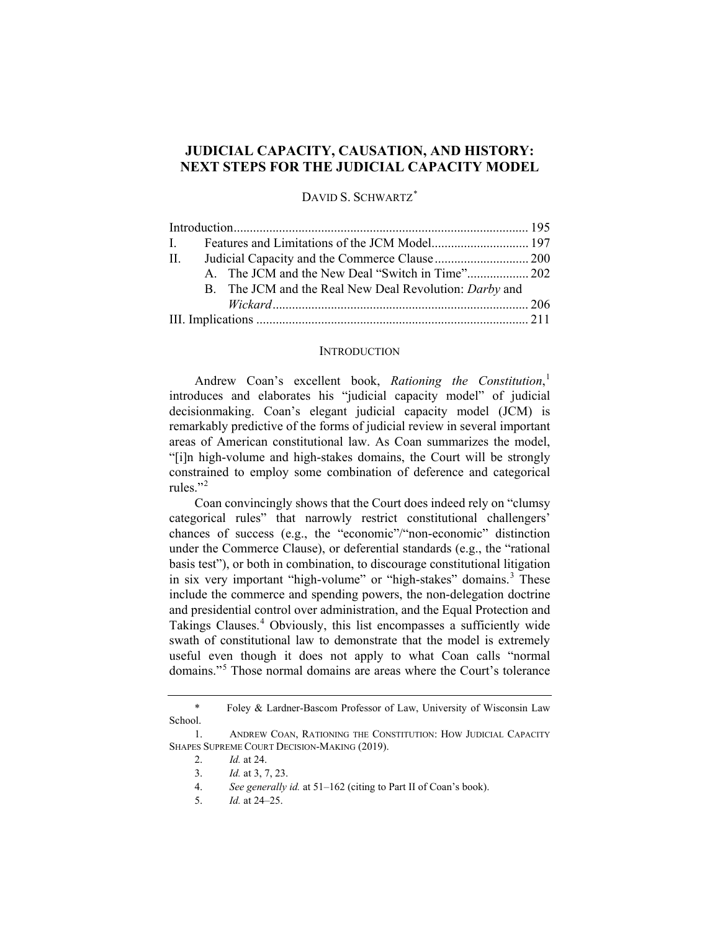# **JUDICIAL CAPACITY, CAUSATION, AND HISTORY: NEXT STEPS FOR THE JUDICIAL CAPACITY MODEL**

DAVID S. SCHWARTZ<sup>[\\*](#page-0-0)</sup>

| $\mathbf{H}$ .                                         |  |
|--------------------------------------------------------|--|
|                                                        |  |
| B. The JCM and the Real New Deal Revolution: Darby and |  |
|                                                        |  |
|                                                        |  |

## <span id="page-0-6"></span>**INTRODUCTION**

Andrew Coan's excellent book, *Rationing the Constitution*, [1](#page-0-1) introduces and elaborates his "judicial capacity model" of judicial decisionmaking. Coan's elegant judicial capacity model (JCM) is remarkably predictive of the forms of judicial review in several important areas of American constitutional law. As Coan summarizes the model, "[i]n high-volume and high-stakes domains, the Court will be strongly constrained to employ some combination of deference and categorical rules."<sup>[2](#page-0-2)</sup>

Coan convincingly shows that the Court does indeed rely on "clumsy categorical rules" that narrowly restrict constitutional challengers' chances of success (e.g., the "economic"/"non-economic" distinction under the Commerce Clause), or deferential standards (e.g., the "rational basis test"), or both in combination, to discourage constitutional litigation in six very important "high-volume" or "high-stakes" domains.<sup>[3](#page-0-3)</sup> These include the commerce and spending powers, the non-delegation doctrine and presidential control over administration, and the Equal Protection and Takings Clauses.<sup>[4](#page-0-4)</sup> Obviously, this list encompasses a sufficiently wide swath of constitutional law to demonstrate that the model is extremely useful even though it does not apply to what Coan calls "normal domains."[5](#page-0-5) Those normal domains are areas where the Court's tolerance

<span id="page-0-0"></span><sup>\*</sup> Foley & Lardner-Bascom Professor of Law, University of Wisconsin Law School.

<span id="page-0-5"></span><span id="page-0-4"></span><span id="page-0-3"></span><span id="page-0-2"></span><span id="page-0-1"></span><sup>1.</sup> ANDREW COAN, RATIONING THE CONSTITUTION: HOW JUDICIAL CAPACITY SHAPES SUPREME COURT DECISION-MAKING (2019).

<sup>2.</sup> *Id.* at 24.

<sup>3.</sup> *Id.* at 3, 7, 23.

<sup>4.</sup> *See generally id.* at 51–162 (citing to Part II of Coan's book).

<sup>5.</sup> *Id.* at 24–25.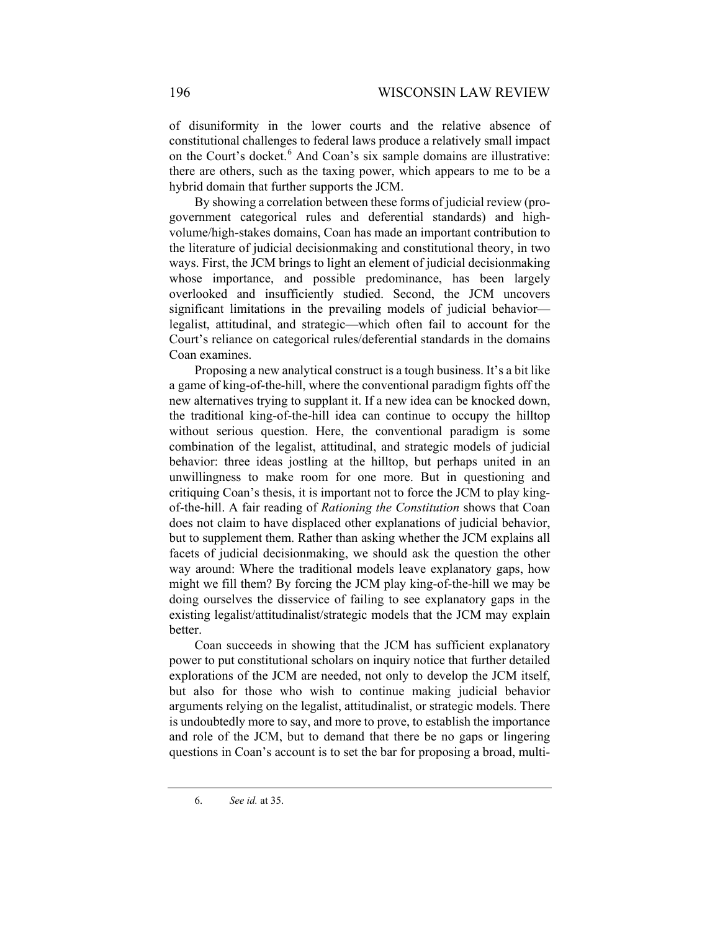of disuniformity in the lower courts and the relative absence of constitutional challenges to federal laws produce a relatively small impact on the Court's docket.<sup>[6](#page-1-0)</sup> And Coan's six sample domains are illustrative: there are others, such as the taxing power, which appears to me to be a hybrid domain that further supports the JCM.

By showing a correlation between these forms of judicial review (progovernment categorical rules and deferential standards) and highvolume/high-stakes domains, Coan has made an important contribution to the literature of judicial decisionmaking and constitutional theory, in two ways. First, the JCM brings to light an element of judicial decisionmaking whose importance, and possible predominance, has been largely overlooked and insufficiently studied. Second, the JCM uncovers significant limitations in the prevailing models of judicial behavior legalist, attitudinal, and strategic—which often fail to account for the Court's reliance on categorical rules/deferential standards in the domains Coan examines.

Proposing a new analytical construct is a tough business. It's a bit like a game of king-of-the-hill, where the conventional paradigm fights off the new alternatives trying to supplant it. If a new idea can be knocked down, the traditional king-of-the-hill idea can continue to occupy the hilltop without serious question. Here, the conventional paradigm is some combination of the legalist, attitudinal, and strategic models of judicial behavior: three ideas jostling at the hilltop, but perhaps united in an unwillingness to make room for one more. But in questioning and critiquing Coan's thesis, it is important not to force the JCM to play kingof-the-hill. A fair reading of *Rationing the Constitution* shows that Coan does not claim to have displaced other explanations of judicial behavior, but to supplement them. Rather than asking whether the JCM explains all facets of judicial decisionmaking, we should ask the question the other way around: Where the traditional models leave explanatory gaps, how might we fill them? By forcing the JCM play king-of-the-hill we may be doing ourselves the disservice of failing to see explanatory gaps in the existing legalist/attitudinalist/strategic models that the JCM may explain better.

Coan succeeds in showing that the JCM has sufficient explanatory power to put constitutional scholars on inquiry notice that further detailed explorations of the JCM are needed, not only to develop the JCM itself, but also for those who wish to continue making judicial behavior arguments relying on the legalist, attitudinalist, or strategic models. There is undoubtedly more to say, and more to prove, to establish the importance and role of the JCM, but to demand that there be no gaps or lingering questions in Coan's account is to set the bar for proposing a broad, multi-

<span id="page-1-0"></span><sup>6.</sup> *See id.* at 35.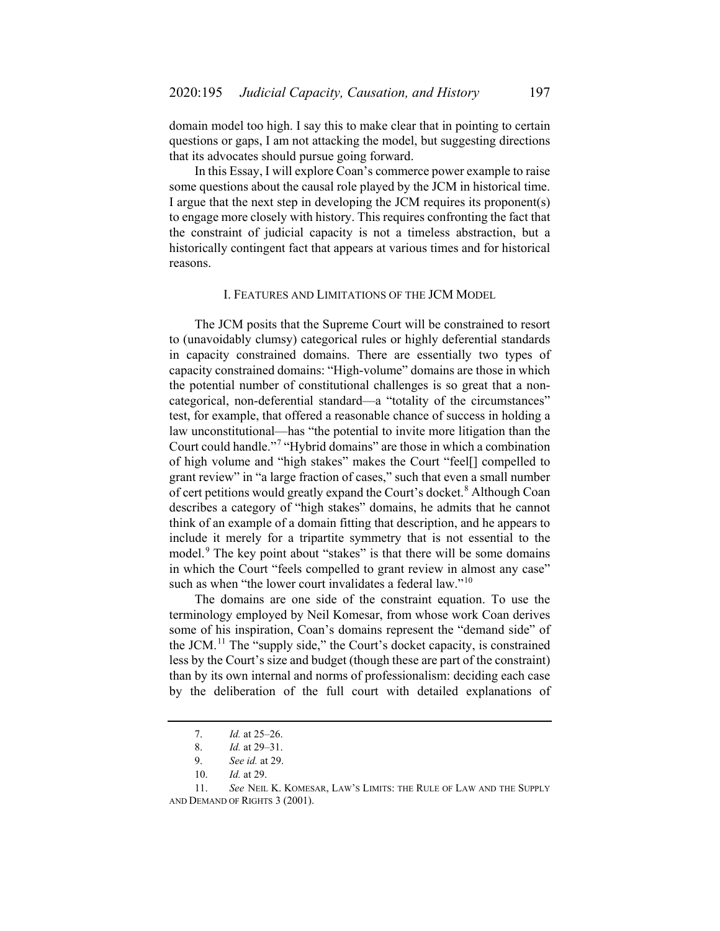domain model too high. I say this to make clear that in pointing to certain questions or gaps, I am not attacking the model, but suggesting directions that its advocates should pursue going forward.

In this Essay, I will explore Coan's commerce power example to raise some questions about the causal role played by the JCM in historical time. I argue that the next step in developing the JCM requires its proponent(s) to engage more closely with history. This requires confronting the fact that the constraint of judicial capacity is not a timeless abstraction, but a historically contingent fact that appears at various times and for historical reasons.

#### I. FEATURES AND LIMITATIONS OF THE JCM MODEL

The JCM posits that the Supreme Court will be constrained to resort to (unavoidably clumsy) categorical rules or highly deferential standards in capacity constrained domains. There are essentially two types of capacity constrained domains: "High-volume" domains are those in which the potential number of constitutional challenges is so great that a noncategorical, non-deferential standard—a "totality of the circumstances" test, for example, that offered a reasonable chance of success in holding a law unconstitutional—has "the potential to invite more litigation than the Court could handle."[7](#page-2-0) "Hybrid domains" are those in which a combination of high volume and "high stakes" makes the Court "feel[] compelled to grant review" in "a large fraction of cases," such that even a small number of cert petitions would greatly expand the Court's docket.<sup>[8](#page-2-1)</sup> Although Coan describes a category of "high stakes" domains, he admits that he cannot think of an example of a domain fitting that description, and he appears to include it merely for a tripartite symmetry that is not essential to the model.<sup>[9](#page-2-2)</sup> The key point about "stakes" is that there will be some domains in which the Court "feels compelled to grant review in almost any case" such as when "the lower court invalidates a federal law."<sup>[10](#page-2-3)</sup>

<span id="page-2-5"></span>The domains are one side of the constraint equation. To use the terminology employed by Neil Komesar, from whose work Coan derives some of his inspiration, Coan's domains represent the "demand side" of the JCM.<sup>[11](#page-2-4)</sup> The "supply side," the Court's docket capacity, is constrained less by the Court's size and budget (though these are part of the constraint) than by its own internal and norms of professionalism: deciding each case by the deliberation of the full court with detailed explanations of

<sup>7.</sup> *Id.* at 25–26.

<sup>8.</sup> *Id.* at 29–31.

<sup>9.</sup> *See id.* at 29.

<sup>10.</sup> *Id.* at 29.

<span id="page-2-4"></span><span id="page-2-3"></span><span id="page-2-2"></span><span id="page-2-1"></span><span id="page-2-0"></span><sup>11.</sup> *See* NEIL K. KOMESAR, LAW'S LIMITS: THE RULE OF LAW AND THE SUPPLY AND DEMAND OF RIGHTS 3 (2001).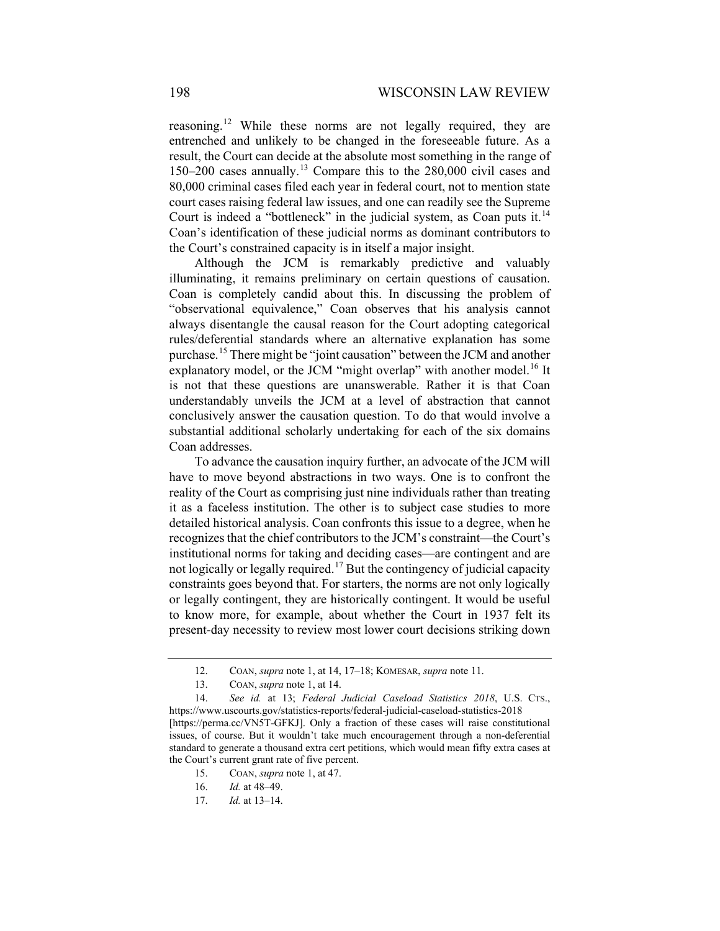reasoning.<sup>[12](#page-3-0)</sup> While these norms are not legally required, they are entrenched and unlikely to be changed in the foreseeable future. As a result, the Court can decide at the absolute most something in the range of 150–200 cases annually.[13](#page-3-1) Compare this to the 280,000 civil cases and 80,000 criminal cases filed each year in federal court, not to mention state court cases raising federal law issues, and one can readily see the Supreme Court is indeed a "bottleneck" in the judicial system, as Coan puts it.<sup>[14](#page-3-2)</sup> Coan's identification of these judicial norms as dominant contributors to the Court's constrained capacity is in itself a major insight.

Although the JCM is remarkably predictive and valuably illuminating, it remains preliminary on certain questions of causation. Coan is completely candid about this. In discussing the problem of "observational equivalence," Coan observes that his analysis cannot always disentangle the causal reason for the Court adopting categorical rules/deferential standards where an alternative explanation has some purchase.[15](#page-3-3) There might be "joint causation" between the JCM and another explanatory model, or the JCM "might overlap" with another model.<sup>[16](#page-3-4)</sup> It is not that these questions are unanswerable. Rather it is that Coan understandably unveils the JCM at a level of abstraction that cannot conclusively answer the causation question. To do that would involve a substantial additional scholarly undertaking for each of the six domains Coan addresses.

To advance the causation inquiry further, an advocate of the JCM will have to move beyond abstractions in two ways. One is to confront the reality of the Court as comprising just nine individuals rather than treating it as a faceless institution. The other is to subject case studies to more detailed historical analysis. Coan confronts this issue to a degree, when he recognizes that the chief contributors to the JCM's constraint—the Court's institutional norms for taking and deciding cases—are contingent and are not logically or legally required.<sup>[17](#page-3-5)</sup> But the contingency of judicial capacity constraints goes beyond that. For starters, the norms are not only logically or legally contingent, they are historically contingent. It would be useful to know more, for example, about whether the Court in 1937 felt its present-day necessity to review most lower court decisions striking down

<sup>12.</sup> COAN, *supra* not[e 1,](#page-0-6) at 14, 17–18; KOMESAR, *supra* not[e 11.](#page-2-5)

<sup>13.</sup> COAN, *supra* not[e 1,](#page-0-6) at 14.

<span id="page-3-4"></span><span id="page-3-3"></span><span id="page-3-2"></span><span id="page-3-1"></span><span id="page-3-0"></span><sup>14.</sup> *See id.* at 13; *Federal Judicial Caseload Statistics 2018*, U.S. CTS., https://www.uscourts.gov/statistics-reports/federal-judicial-caseload-statistics-2018 [https://perma.cc/VN5T-GFKJ]. Only a fraction of these cases will raise constitutional issues, of course. But it wouldn't take much encouragement through a non-deferential standard to generate a thousand extra cert petitions, which would mean fifty extra cases at the Court's current grant rate of five percent.

<span id="page-3-5"></span><sup>15.</sup> COAN, *supra* not[e 1,](#page-0-6) at 47.

<sup>16.</sup> *Id.* at 48–49.

<sup>17.</sup> *Id.* at 13–14.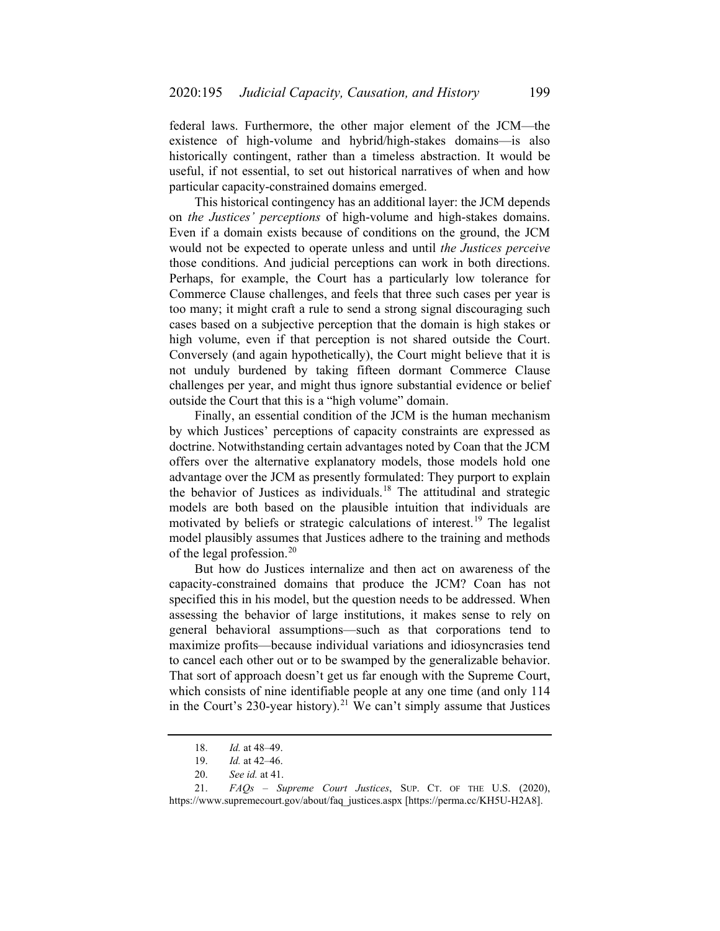federal laws. Furthermore, the other major element of the JCM—the existence of high-volume and hybrid/high-stakes domains—is also historically contingent, rather than a timeless abstraction. It would be useful, if not essential, to set out historical narratives of when and how particular capacity-constrained domains emerged.

This historical contingency has an additional layer: the JCM depends on *the Justices' perceptions* of high-volume and high-stakes domains. Even if a domain exists because of conditions on the ground, the JCM would not be expected to operate unless and until *the Justices perceive* those conditions. And judicial perceptions can work in both directions. Perhaps, for example, the Court has a particularly low tolerance for Commerce Clause challenges, and feels that three such cases per year is too many; it might craft a rule to send a strong signal discouraging such cases based on a subjective perception that the domain is high stakes or high volume, even if that perception is not shared outside the Court. Conversely (and again hypothetically), the Court might believe that it is not unduly burdened by taking fifteen dormant Commerce Clause challenges per year, and might thus ignore substantial evidence or belief outside the Court that this is a "high volume" domain.

Finally, an essential condition of the JCM is the human mechanism by which Justices' perceptions of capacity constraints are expressed as doctrine. Notwithstanding certain advantages noted by Coan that the JCM offers over the alternative explanatory models, those models hold one advantage over the JCM as presently formulated: They purport to explain the behavior of Justices as individuals.[18](#page-4-0) The attitudinal and strategic models are both based on the plausible intuition that individuals are motivated by beliefs or strategic calculations of interest.<sup>[19](#page-4-1)</sup> The legalist model plausibly assumes that Justices adhere to the training and methods of the legal profession. $^{20}$  $^{20}$  $^{20}$ 

But how do Justices internalize and then act on awareness of the capacity-constrained domains that produce the JCM? Coan has not specified this in his model, but the question needs to be addressed. When assessing the behavior of large institutions, it makes sense to rely on general behavioral assumptions—such as that corporations tend to maximize profits—because individual variations and idiosyncrasies tend to cancel each other out or to be swamped by the generalizable behavior. That sort of approach doesn't get us far enough with the Supreme Court, which consists of nine identifiable people at any one time (and only 114 in the Court's 230-year history).<sup>[21](#page-4-3)</sup> We can't simply assume that Justices

<sup>18.</sup> *Id.* at 48–49.

<sup>19.</sup> *Id.* at 42–46.

<sup>20.</sup> *See id.* at 41.

<span id="page-4-3"></span><span id="page-4-2"></span><span id="page-4-1"></span><span id="page-4-0"></span><sup>21.</sup> *FAQs – Supreme Court Justices*, SUP. CT. OF THE U.S. (2020), https://www.supremecourt.gov/about/faq\_justices.aspx [https://perma.cc/KH5U-H2A8].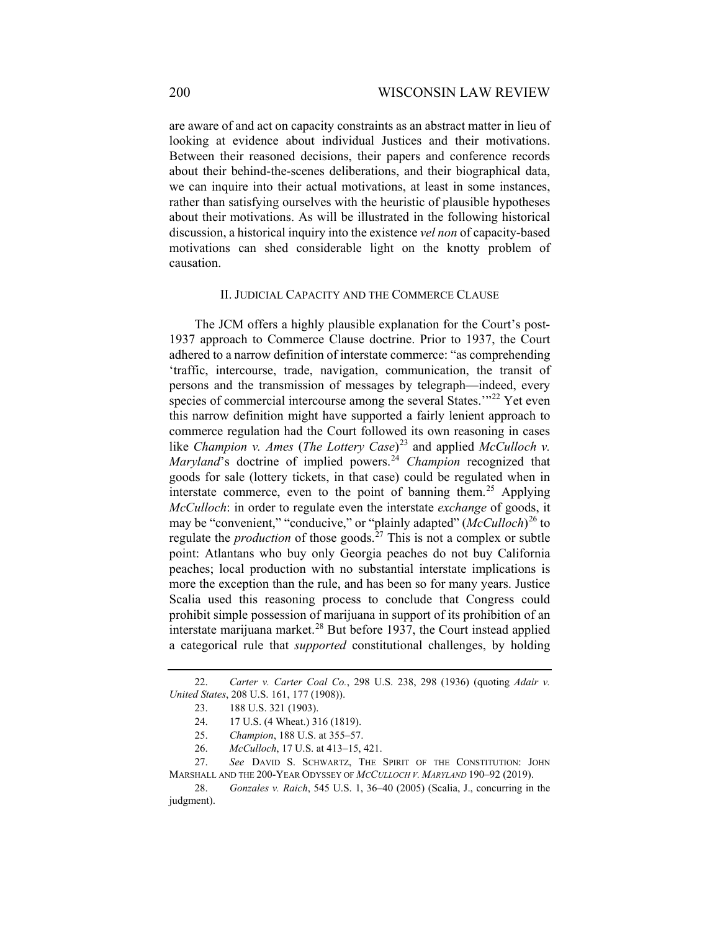are aware of and act on capacity constraints as an abstract matter in lieu of looking at evidence about individual Justices and their motivations. Between their reasoned decisions, their papers and conference records about their behind-the-scenes deliberations, and their biographical data, we can inquire into their actual motivations, at least in some instances, rather than satisfying ourselves with the heuristic of plausible hypotheses about their motivations. As will be illustrated in the following historical discussion, a historical inquiry into the existence *vel non* of capacity-based motivations can shed considerable light on the knotty problem of causation.

#### II. JUDICIAL CAPACITY AND THE COMMERCE CLAUSE

The JCM offers a highly plausible explanation for the Court's post-1937 approach to Commerce Clause doctrine. Prior to 1937, the Court adhered to a narrow definition of interstate commerce: "as comprehending 'traffic, intercourse, trade, navigation, communication, the transit of persons and the transmission of messages by telegraph—indeed, every species of commercial intercourse among the several States."<sup>[22](#page-5-0)</sup> Yet even this narrow definition might have supported a fairly lenient approach to commerce regulation had the Court followed its own reasoning in cases like *Champion v. Ames* (*The Lottery Case*) [23](#page-5-1) and applied *McCulloch v. Maryland*'s doctrine of implied powers.<sup>[24](#page-5-2)</sup> *Champion* recognized that goods for sale (lottery tickets, in that case) could be regulated when in interstate commerce, even to the point of banning them.<sup>[25](#page-5-3)</sup> Applying *McCulloch*: in order to regulate even the interstate *exchange* of goods, it may be "convenient," "conducive," or "plainly adapted" (*McCulloch*) [26](#page-5-4) to regulate the *production* of those goods.<sup>[27](#page-5-5)</sup> This is not a complex or subtle point: Atlantans who buy only Georgia peaches do not buy California peaches; local production with no substantial interstate implications is more the exception than the rule, and has been so for many years. Justice Scalia used this reasoning process to conclude that Congress could prohibit simple possession of marijuana in support of its prohibition of an interstate marijuana market. $28$  But before 1937, the Court instead applied a categorical rule that *supported* constitutional challenges, by holding

- 25. *Champion*, 188 U.S. at 355–57.
- 26. *McCulloch*, 17 U.S. at 413–15, 421.

<span id="page-5-7"></span><span id="page-5-2"></span><span id="page-5-1"></span><span id="page-5-0"></span><sup>22.</sup> *Carter v. Carter Coal Co.*, 298 U.S. 238, 298 (1936) (quoting *Adair v. United States*, 208 U.S. 161, 177 (1908)).

<sup>23.</sup> 188 U.S. 321 (1903).

<sup>24.</sup> 17 U.S. (4 Wheat.) 316 (1819).

<span id="page-5-5"></span><span id="page-5-4"></span><span id="page-5-3"></span><sup>27.</sup> *See* DAVID S. SCHWARTZ, THE SPIRIT OF THE CONSTITUTION: JOHN MARSHALL AND THE 200-YEAR ODYSSEY OF *MCCULLOCH V. MARYLAND* 190–92 (2019).

<span id="page-5-6"></span><sup>28.</sup> *Gonzales v. Raich*, 545 U.S. 1, 36–40 (2005) (Scalia, J., concurring in the judgment).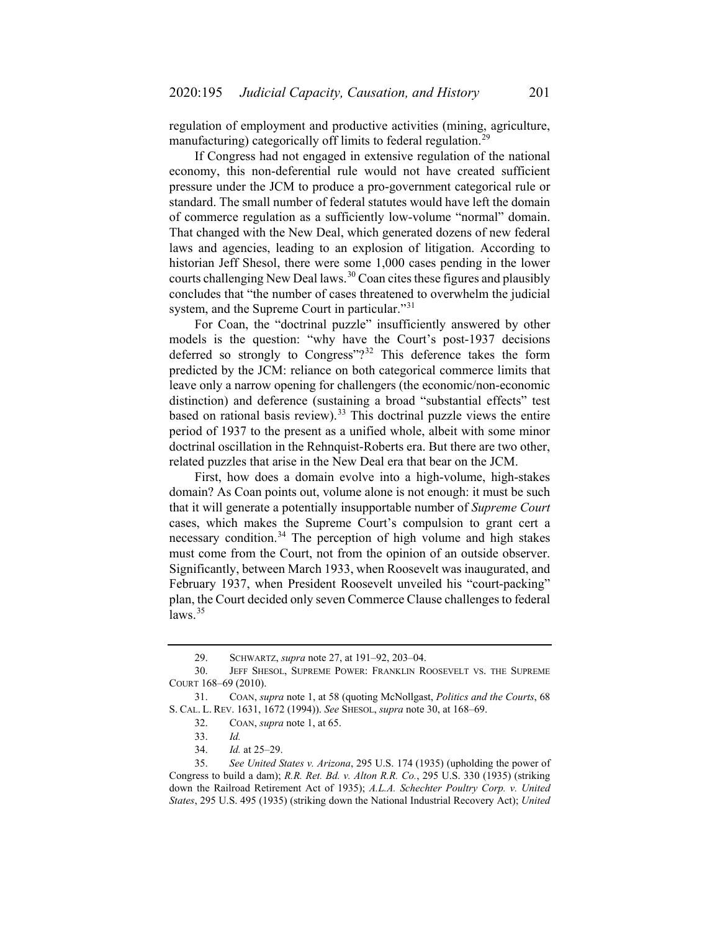regulation of employment and productive activities (mining, agriculture, manufacturing) categorically off limits to federal regulation.<sup>[29](#page-6-1)</sup>

If Congress had not engaged in extensive regulation of the national economy, this non-deferential rule would not have created sufficient pressure under the JCM to produce a pro-government categorical rule or standard. The small number of federal statutes would have left the domain of commerce regulation as a sufficiently low-volume "normal" domain. That changed with the New Deal, which generated dozens of new federal laws and agencies, leading to an explosion of litigation. According to historian Jeff Shesol, there were some 1,000 cases pending in the lower courts challenging New Deal laws.<sup>[30](#page-6-2)</sup> Coan cites these figures and plausibly concludes that "the number of cases threatened to overwhelm the judicial system, and the Supreme Court in particular."<sup>[31](#page-6-3)</sup>

<span id="page-6-0"></span>For Coan, the "doctrinal puzzle" insufficiently answered by other models is the question: "why have the Court's post-1937 decisions deferred so strongly to Congress"?<sup>[32](#page-6-4)</sup> This deference takes the form predicted by the JCM: reliance on both categorical commerce limits that leave only a narrow opening for challengers (the economic/non-economic distinction) and deference (sustaining a broad "substantial effects" test based on rational basis review).<sup>[33](#page-6-5)</sup> This doctrinal puzzle views the entire period of 1937 to the present as a unified whole, albeit with some minor doctrinal oscillation in the Rehnquist-Roberts era. But there are two other, related puzzles that arise in the New Deal era that bear on the JCM.

First, how does a domain evolve into a high-volume, high-stakes domain? As Coan points out, volume alone is not enough: it must be such that it will generate a potentially insupportable number of *Supreme Court* cases, which makes the Supreme Court's compulsion to grant cert a necessary condition.<sup>[34](#page-6-6)</sup> The perception of high volume and high stakes must come from the Court, not from the opinion of an outside observer. Significantly, between March 1933, when Roosevelt was inaugurated, and February 1937, when President Roosevelt unveiled his "court-packing" plan, the Court decided only seven Commerce Clause challenges to federal  $laws.<sup>35</sup>$  $laws.<sup>35</sup>$  $laws.<sup>35</sup>$ 

<sup>29.</sup> SCHWARTZ, *supra* note [27,](#page-5-7) at 191–92, 203–04.

<span id="page-6-2"></span><span id="page-6-1"></span><sup>30.</sup> JEFF SHESOL, SUPREME POWER: FRANKLIN ROOSEVELT VS. THE SUPREME COURT 168–69 (2010).

<span id="page-6-4"></span><span id="page-6-3"></span><sup>31.</sup> COAN, *supra* not[e 1,](#page-0-6) at 58 (quoting McNollgast, *Politics and the Courts*, 68 S. CAL. L. REV. 1631, 1672 (1994)). *See* SHESOL, *supra* note [30,](#page-6-0) at 168–69.

<sup>32.</sup> COAN, *supra* not[e 1,](#page-0-6) at 65.

<sup>33.</sup> *Id.*

<sup>34.</sup> *Id.* at 25–29.

<span id="page-6-7"></span><span id="page-6-6"></span><span id="page-6-5"></span><sup>35.</sup> *See United States v. Arizona*, 295 U.S. 174 (1935) (upholding the power of Congress to build a dam); *R.R. Ret. Bd. v. Alton R.R. Co.*, 295 U.S. 330 (1935) (striking down the Railroad Retirement Act of 1935); *A.L.A. Schechter Poultry Corp. v. United States*, 295 U.S. 495 (1935) (striking down the National Industrial Recovery Act); *United*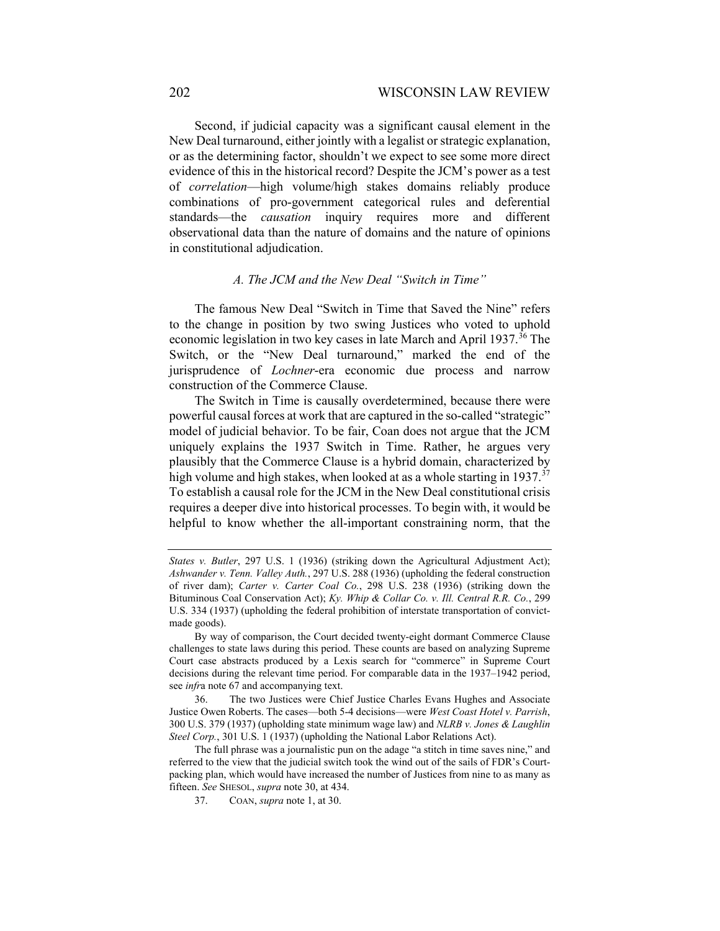Second, if judicial capacity was a significant causal element in the New Deal turnaround, either jointly with a legalist or strategic explanation, or as the determining factor, shouldn't we expect to see some more direct evidence of this in the historical record? Despite the JCM's power as a test of *correlation*—high volume/high stakes domains reliably produce combinations of pro-government categorical rules and deferential standards—the *causation* inquiry requires more and different observational data than the nature of domains and the nature of opinions in constitutional adjudication.

### *A. The JCM and the New Deal "Switch in Time"*

The famous New Deal "Switch in Time that Saved the Nine" refers to the change in position by two swing Justices who voted to uphold economic legislation in two key cases in late March and April 1937.<sup>[36](#page-7-0)</sup> The Switch, or the "New Deal turnaround," marked the end of the jurisprudence of *Lochner*-era economic due process and narrow construction of the Commerce Clause.

The Switch in Time is causally overdetermined, because there were powerful causal forces at work that are captured in the so-called "strategic" model of judicial behavior. To be fair, Coan does not argue that the JCM uniquely explains the 1937 Switch in Time. Rather, he argues very plausibly that the Commerce Clause is a hybrid domain, characterized by high volume and high stakes, when looked at as a whole starting in 19[37](#page-7-1). $37$ To establish a causal role for the JCM in the New Deal constitutional crisis requires a deeper dive into historical processes. To begin with, it would be helpful to know whether the all-important constraining norm, that the

*States v. Butler*, 297 U.S. 1 (1936) (striking down the Agricultural Adjustment Act); *Ashwander v. Tenn. Valley Auth.*, 297 U.S. 288 (1936) (upholding the federal construction of river dam); *Carter v. Carter Coal Co.*, 298 U.S. 238 (1936) (striking down the Bituminous Coal Conservation Act); *Ky. Whip & Collar Co. v. Ill. Central R.R. Co.*, 299 U.S. 334 (1937) (upholding the federal prohibition of interstate transportation of convictmade goods).

By way of comparison, the Court decided twenty-eight dormant Commerce Clause challenges to state laws during this period. These counts are based on analyzing Supreme Court case abstracts produced by a Lexis search for "commerce" in Supreme Court decisions during the relevant time period. For comparable data in the 1937–1942 period, see *infr*a not[e 67](#page-12-0) and accompanying text.

<span id="page-7-0"></span><sup>36.</sup> The two Justices were Chief Justice Charles Evans Hughes and Associate Justice Owen Roberts. The cases—both 5-4 decisions—were *West Coast Hotel v. Parrish*, 300 U.S. 379 (1937) (upholding state minimum wage law) and *NLRB v. Jones & Laughlin Steel Corp.*, 301 U.S. 1 (1937) (upholding the National Labor Relations Act).

<span id="page-7-1"></span>The full phrase was a journalistic pun on the adage "a stitch in time saves nine," and referred to the view that the judicial switch took the wind out of the sails of FDR's Courtpacking plan, which would have increased the number of Justices from nine to as many as fifteen. *See* SHESOL, *supra* not[e 30,](#page-6-0) at 434.

<sup>37.</sup> COAN, *supra* not[e 1,](#page-0-6) at 30.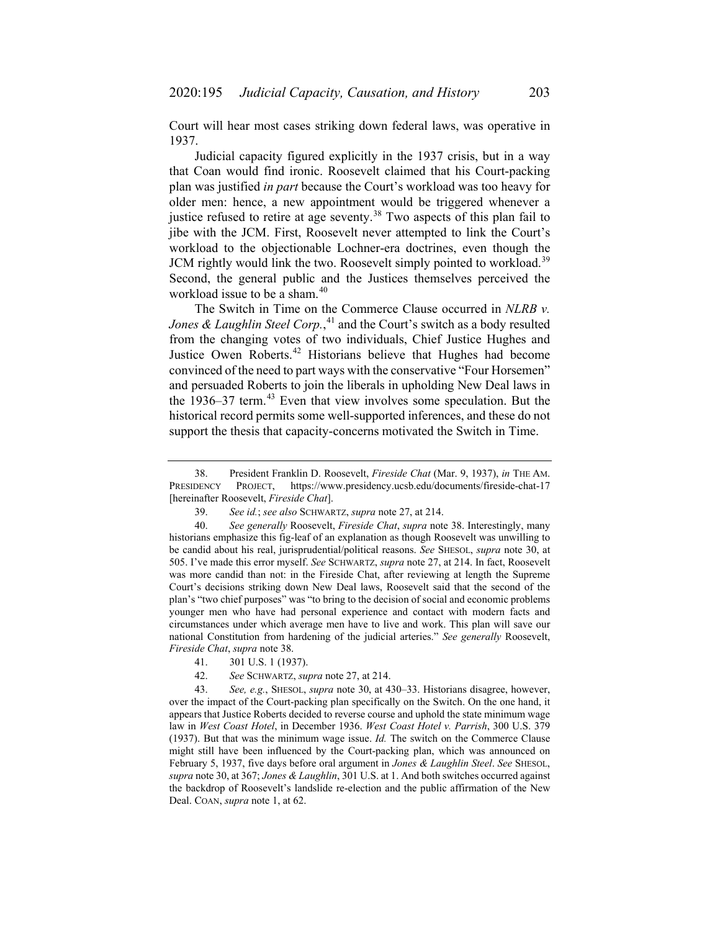Court will hear most cases striking down federal laws, was operative in 1937.

<span id="page-8-0"></span>Judicial capacity figured explicitly in the 1937 crisis, but in a way that Coan would find ironic. Roosevelt claimed that his Court-packing plan was justified *in part* because the Court's workload was too heavy for older men: hence, a new appointment would be triggered whenever a justice refused to retire at age seventy.<sup>[38](#page-8-1)</sup> Two aspects of this plan fail to jibe with the JCM. First, Roosevelt never attempted to link the Court's workload to the objectionable Lochner-era doctrines, even though the JCM rightly would link the two. Roosevelt simply pointed to workload.<sup>[39](#page-8-2)</sup> Second, the general public and the Justices themselves perceived the workload issue to be a sham.<sup>[40](#page-8-3)</sup>

The Switch in Time on the Commerce Clause occurred in *NLRB v. Jones & Laughlin Steel Corp.*, [41](#page-8-4) and the Court's switch as a body resulted from the changing votes of two individuals, Chief Justice Hughes and Justice Owen Roberts.<sup>[42](#page-8-5)</sup> Historians believe that Hughes had become convinced of the need to part ways with the conservative "Four Horsemen" and persuaded Roberts to join the liberals in upholding New Deal laws in the  $1936-37$  term.<sup>[43](#page-8-6)</sup> Even that view involves some speculation. But the historical record permits some well-supported inferences, and these do not support the thesis that capacity-concerns motivated the Switch in Time.

<span id="page-8-1"></span><sup>38.</sup> President Franklin D. Roosevelt, *Fireside Chat* (Mar. 9, 1937), *in* THE AM. PRESIDENCY PROJECT, https://www.presidency.ucsb.edu/documents/fireside-chat-17 [hereinafter Roosevelt, *Fireside Chat*].

<sup>39.</sup> *See id.*; *see also* SCHWARTZ, *supra* not[e 27,](#page-5-7) at 214.

<span id="page-8-3"></span><span id="page-8-2"></span><sup>40.</sup> *See generally* Roosevelt, *Fireside Chat*, *supra* note [38.](#page-8-0) Interestingly, many historians emphasize this fig-leaf of an explanation as though Roosevelt was unwilling to be candid about his real, jurisprudential/political reasons. *See* SHESOL, *supra* note [30,](#page-6-0) at 505. I've made this error myself. *See* SCHWARTZ, *supra* note [27,](#page-5-7) at 214. In fact, Roosevelt was more candid than not: in the Fireside Chat, after reviewing at length the Supreme Court's decisions striking down New Deal laws, Roosevelt said that the second of the plan's "two chief purposes" was "to bring to the decision of social and economic problems younger men who have had personal experience and contact with modern facts and circumstances under which average men have to live and work. This plan will save our national Constitution from hardening of the judicial arteries." *See generally* Roosevelt, *Fireside Chat*, *supra* not[e 38.](#page-8-0)

<sup>41.</sup> 301 U.S. 1 (1937).

<sup>42.</sup> *See* SCHWARTZ, *supra* not[e 27,](#page-5-7) at 214.

<span id="page-8-6"></span><span id="page-8-5"></span><span id="page-8-4"></span><sup>43.</sup> *See, e.g.*, SHESOL, *supra* note [30,](#page-6-0) at 430–33. Historians disagree, however, over the impact of the Court-packing plan specifically on the Switch. On the one hand, it appears that Justice Roberts decided to reverse course and uphold the state minimum wage law in *West Coast Hotel*, in December 1936. *West Coast Hotel v. Parrish*, 300 U.S. 379 (1937). But that was the minimum wage issue. *Id.* The switch on the Commerce Clause might still have been influenced by the Court-packing plan, which was announced on February 5, 1937, five days before oral argument in *Jones & Laughlin Steel*. *See* SHESOL, *supra* not[e 30,](#page-6-0) at 367; *Jones & Laughlin*, 301 U.S. at 1. And both switches occurred against the backdrop of Roosevelt's landslide re-election and the public affirmation of the New Deal. COAN, *supra* not[e 1,](#page-0-6) at 62.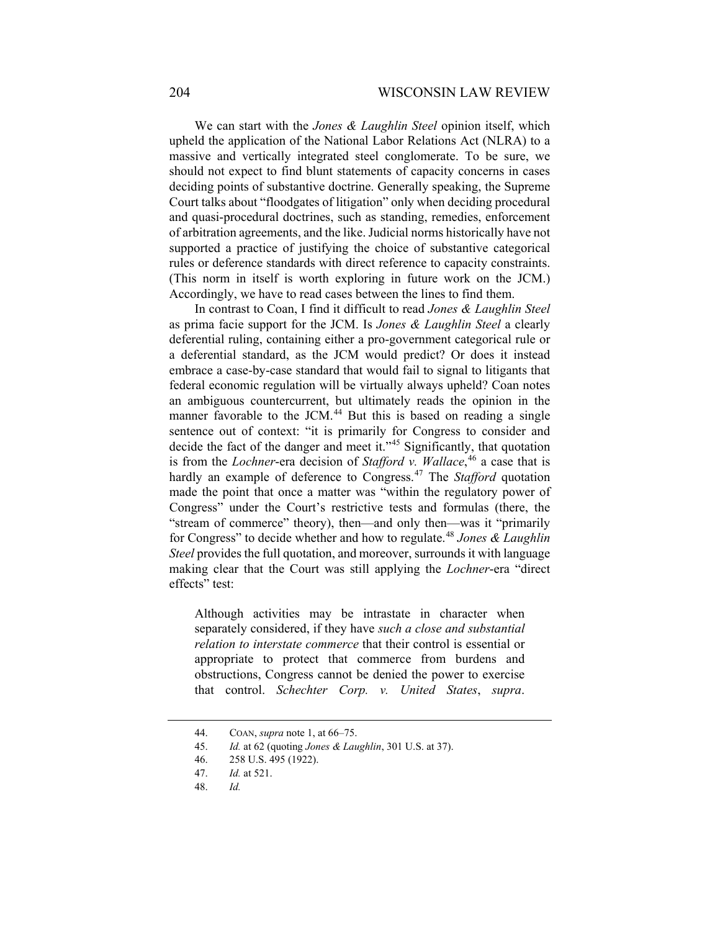We can start with the *Jones & Laughlin Steel* opinion itself, which upheld the application of the National Labor Relations Act (NLRA) to a massive and vertically integrated steel conglomerate. To be sure, we should not expect to find blunt statements of capacity concerns in cases deciding points of substantive doctrine. Generally speaking, the Supreme Court talks about "floodgates of litigation" only when deciding procedural and quasi-procedural doctrines, such as standing, remedies, enforcement of arbitration agreements, and the like. Judicial norms historically have not supported a practice of justifying the choice of substantive categorical rules or deference standards with direct reference to capacity constraints. (This norm in itself is worth exploring in future work on the JCM.) Accordingly, we have to read cases between the lines to find them.

In contrast to Coan, I find it difficult to read *Jones & Laughlin Steel*  as prima facie support for the JCM. Is *Jones & Laughlin Steel* a clearly deferential ruling, containing either a pro-government categorical rule or a deferential standard, as the JCM would predict? Or does it instead embrace a case-by-case standard that would fail to signal to litigants that federal economic regulation will be virtually always upheld? Coan notes an ambiguous countercurrent, but ultimately reads the opinion in the manner favorable to the JCM.<sup>[44](#page-9-0)</sup> But this is based on reading a single sentence out of context: "it is primarily for Congress to consider and decide the fact of the danger and meet it."<sup>[45](#page-9-1)</sup> Significantly, that quotation is from the *Lochner*-era decision of *Stafford v. Wallace*, [46](#page-9-2) a case that is hardly an example of deference to Congress.[47](#page-9-3) The *Stafford* quotation made the point that once a matter was "within the regulatory power of Congress" under the Court's restrictive tests and formulas (there, the "stream of commerce" theory), then—and only then—was it "primarily for Congress" to decide whether and how to regulate.[48](#page-9-4) *Jones & Laughlin Steel* provides the full quotation, and moreover, surrounds it with language making clear that the Court was still applying the *Lochner*-era "direct effects" test:

Although activities may be intrastate in character when separately considered, if they have *such a close and substantial relation to interstate commerce* that their control is essential or appropriate to protect that commerce from burdens and obstructions, Congress cannot be denied the power to exercise that control. *Schechter Corp. v. United States*, *supra*.

<span id="page-9-1"></span><span id="page-9-0"></span><sup>44.</sup> COAN, *supra* not[e 1,](#page-0-6) at 66–75.

<sup>45.</sup> *Id.* at 62 (quoting *Jones & Laughlin*, 301 U.S. at 37).

<span id="page-9-2"></span><sup>46.</sup> 258 U.S. 495 (1922).

<span id="page-9-3"></span><sup>47.</sup> *Id.* at 521.

<span id="page-9-4"></span><sup>48.</sup> *Id.*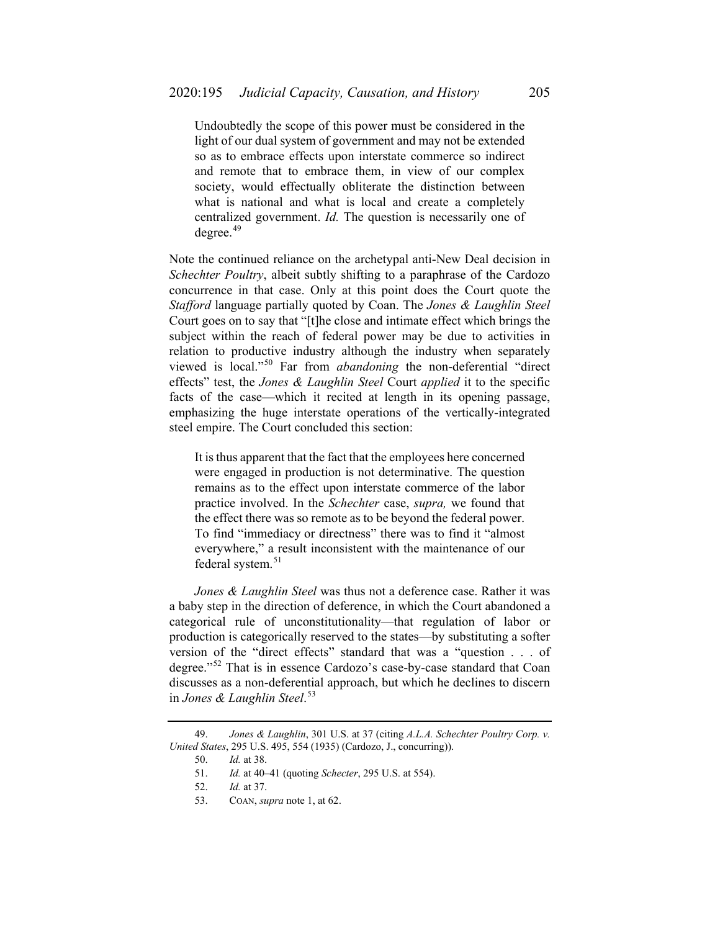Undoubtedly the scope of this power must be considered in the light of our dual system of government and may not be extended so as to embrace effects upon interstate commerce so indirect and remote that to embrace them, in view of our complex society, would effectually obliterate the distinction between what is national and what is local and create a completely centralized government. *Id.* The question is necessarily one of degree.<sup>[49](#page-10-0)</sup>

Note the continued reliance on the archetypal anti-New Deal decision in *Schechter Poultry*, albeit subtly shifting to a paraphrase of the Cardozo concurrence in that case. Only at this point does the Court quote the *Stafford* language partially quoted by Coan. The *Jones & Laughlin Steel* Court goes on to say that "[t]he close and intimate effect which brings the subject within the reach of federal power may be due to activities in relation to productive industry although the industry when separately viewed is local."[50](#page-10-1) Far from *abandoning* the non-deferential "direct effects" test, the *Jones & Laughlin Steel* Court *applied* it to the specific facts of the case—which it recited at length in its opening passage, emphasizing the huge interstate operations of the vertically-integrated steel empire. The Court concluded this section:

It is thus apparent that the fact that the employees here concerned were engaged in production is not determinative. The question remains as to the effect upon interstate commerce of the labor practice involved. In the *Schechter* case, *supra,* we found that the effect there was so remote as to be beyond the federal power. To find "immediacy or directness" there was to find it "almost everywhere," a result inconsistent with the maintenance of our federal system.<sup>[51](#page-10-2)</sup>

*Jones & Laughlin Steel* was thus not a deference case. Rather it was a baby step in the direction of deference, in which the Court abandoned a categorical rule of unconstitutionality—that regulation of labor or production is categorically reserved to the states—by substituting a softer version of the "direct effects" standard that was a "question . . . of degree."[52](#page-10-3) That is in essence Cardozo's case-by-case standard that Coan discusses as a non-deferential approach, but which he declines to discern in *Jones & Laughlin Steel*. [53](#page-10-4)

<span id="page-10-4"></span><span id="page-10-3"></span><span id="page-10-2"></span><span id="page-10-1"></span><span id="page-10-0"></span><sup>49.</sup> *Jones & Laughlin*, 301 U.S. at 37 (citing *A.L.A. Schechter Poultry Corp. v. United States*, 295 U.S. 495, 554 (1935) (Cardozo, J., concurring)).

<sup>50.</sup> *Id.* at 38.

<sup>51.</sup> *Id.* at 40–41 (quoting *Schecter*, 295 U.S. at 554).

<sup>52.</sup> *Id.* at 37.

<sup>53.</sup> COAN, *supra* not[e 1,](#page-0-6) at 62.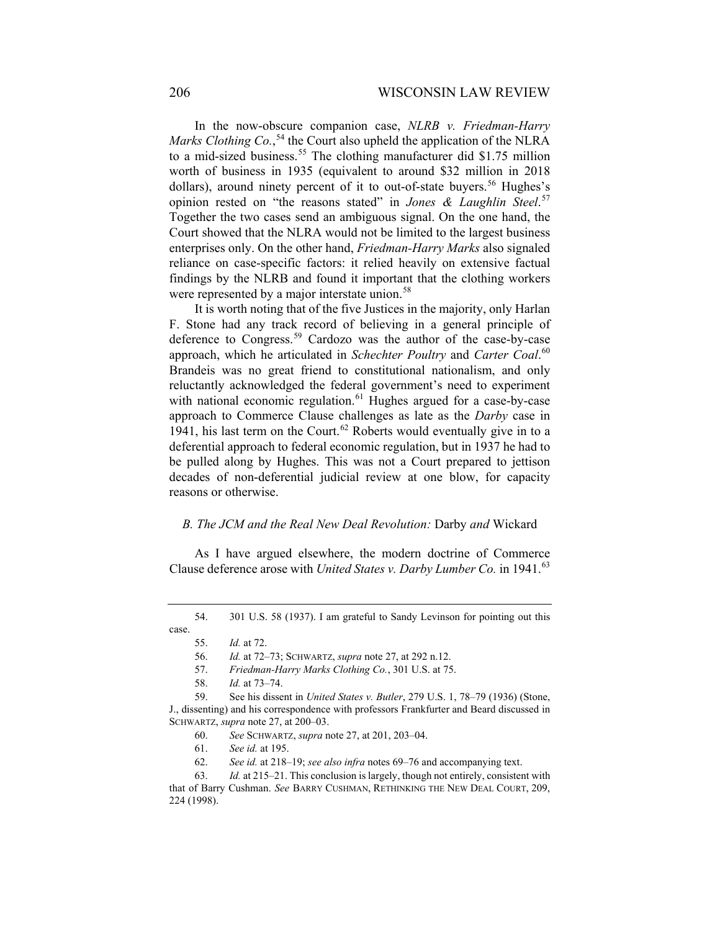In the now-obscure companion case, *NLRB v. Friedman-Harry*  Marks Clothing Co.,<sup>[54](#page-11-0)</sup> the Court also upheld the application of the NLRA to a mid-sized business.<sup>[55](#page-11-1)</sup> The clothing manufacturer did \$1.75 million worth of business in 1935 (equivalent to around \$32 million in 2018 dollars), around ninety percent of it to out-of-state buyers.<sup>[56](#page-11-2)</sup> Hughes's opinion rested on "the reasons stated" in *Jones & Laughlin Steel*. [57](#page-11-3) Together the two cases send an ambiguous signal. On the one hand, the Court showed that the NLRA would not be limited to the largest business enterprises only. On the other hand, *Friedman-Harry Marks* also signaled reliance on case-specific factors: it relied heavily on extensive factual findings by the NLRB and found it important that the clothing workers were represented by a major interstate union.<sup>[58](#page-11-4)</sup>

It is worth noting that of the five Justices in the majority, only Harlan F. Stone had any track record of believing in a general principle of deference to Congress.<sup>[59](#page-11-5)</sup> Cardozo was the author of the case-by-case approach, which he articulated in *Schechter Poultry* and *Carter Coal*. [60](#page-11-6) Brandeis was no great friend to constitutional nationalism, and only reluctantly acknowledged the federal government's need to experiment with national economic regulation.<sup>[61](#page-11-7)</sup> Hughes argued for a case-by-case approach to Commerce Clause challenges as late as the *Darby* case in 1941, his last term on the Court.<sup>[62](#page-11-8)</sup> Roberts would eventually give in to a deferential approach to federal economic regulation, but in 1937 he had to be pulled along by Hughes. This was not a Court prepared to jettison decades of non-deferential judicial review at one blow, for capacity reasons or otherwise.

### *B. The JCM and the Real New Deal Revolution:* Darby *and* Wickard

As I have argued elsewhere, the modern doctrine of Commerce Clause deference arose with *United States v. Darby Lumber Co.* in 1941.<sup>[63](#page-11-9)</sup>

61. *See id.* at 195.

<span id="page-11-2"></span><span id="page-11-1"></span><span id="page-11-0"></span><sup>54.</sup> 301 U.S. 58 (1937). I am grateful to Sandy Levinson for pointing out this case.

<sup>55.</sup> *Id.* at 72.

<span id="page-11-10"></span><sup>56.</sup> *Id.* at 72–73; SCHWARTZ, *supra* note [27,](#page-5-7) at 292 n.12.

<sup>57.</sup> *Friedman-Harry Marks Clothing Co.*, 301 U.S. at 75.

<sup>58.</sup> *Id.* at 73–74.

<span id="page-11-6"></span><span id="page-11-5"></span><span id="page-11-4"></span><span id="page-11-3"></span><sup>59.</sup> See his dissent in *United States v. Butler*, 279 U.S. 1, 78–79 (1936) (Stone, J., dissenting) and his correspondence with professors Frankfurter and Beard discussed in SCHWARTZ, *supra* not[e 27,](#page-5-7) at 200–03.

<sup>60.</sup> *See* SCHWARTZ, *supra* not[e 27,](#page-5-7) at 201, 203–04.

<sup>62.</sup> *See id.* at 218–19; *see also infra* notes [69](#page-12-1)[–76](#page-13-0) and accompanying text.

<span id="page-11-9"></span><span id="page-11-8"></span><span id="page-11-7"></span><sup>63.</sup> *Id.* at 215–21. This conclusion is largely, though not entirely, consistent with that of Barry Cushman. *See* BARRY CUSHMAN, RETHINKING THE NEW DEAL COURT, 209, 224 (1998).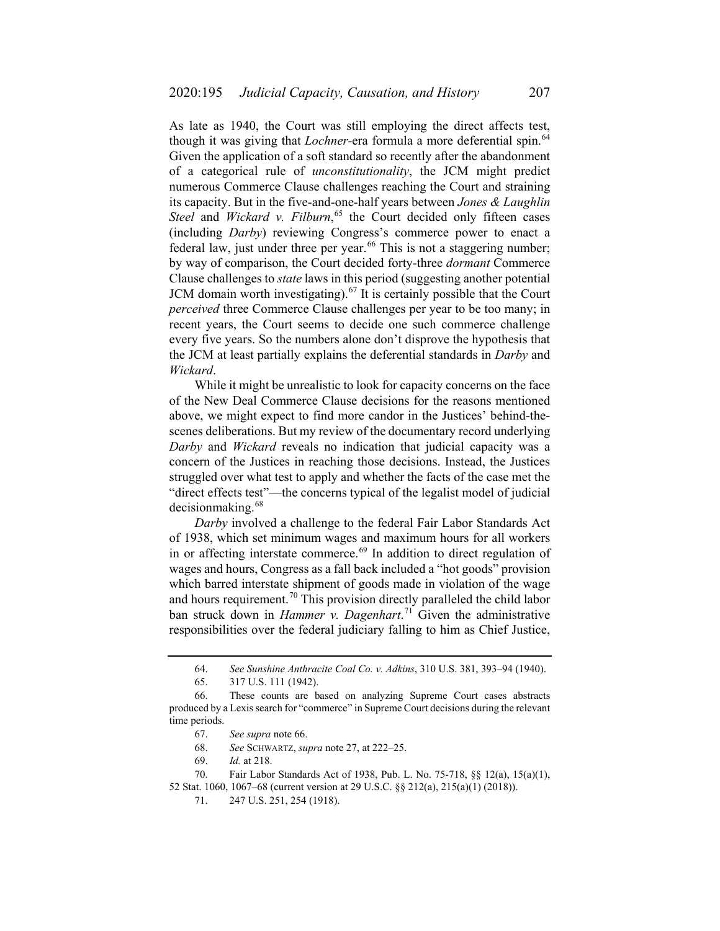<span id="page-12-2"></span>As late as 1940, the Court was still employing the direct affects test, though it was giving that *Lochner*-era formula a more deferential spin.<sup>[64](#page-12-3)</sup> Given the application of a soft standard so recently after the abandonment of a categorical rule of *unconstitutionality*, the JCM might predict numerous Commerce Clause challenges reaching the Court and straining its capacity. But in the five-and-one-half years between *Jones & Laughlin Steel* and *Wickard v. Filburn*, [65](#page-12-4) the Court decided only fifteen cases (including *Darby*) reviewing Congress's commerce power to enact a federal law, just under three per year.<sup>[66](#page-12-5)</sup> This is not a staggering number; by way of comparison, the Court decided forty-three *dormant* Commerce Clause challenges to *state* laws in this period (suggesting another potential JCM domain worth investigating).<sup>[67](#page-12-6)</sup> It is certainly possible that the Court *perceived* three Commerce Clause challenges per year to be too many; in recent years, the Court seems to decide one such commerce challenge every five years. So the numbers alone don't disprove the hypothesis that the JCM at least partially explains the deferential standards in *Darby* and *Wickard*.

<span id="page-12-0"></span>While it might be unrealistic to look for capacity concerns on the face of the New Deal Commerce Clause decisions for the reasons mentioned above, we might expect to find more candor in the Justices' behind-thescenes deliberations. But my review of the documentary record underlying *Darby* and *Wickard* reveals no indication that judicial capacity was a concern of the Justices in reaching those decisions. Instead, the Justices struggled over what test to apply and whether the facts of the case met the "direct effects test"—the concerns typical of the legalist model of judicial decisionmaking.<sup>[68](#page-12-7)</sup>

<span id="page-12-1"></span>*Darby* involved a challenge to the federal Fair Labor Standards Act of 1938, which set minimum wages and maximum hours for all workers in or affecting interstate commerce.<sup>[69](#page-12-8)</sup> In addition to direct regulation of wages and hours, Congress as a fall back included a "hot goods" provision which barred interstate shipment of goods made in violation of the wage and hours requirement.<sup>[70](#page-12-9)</sup> This provision directly paralleled the child labor ban struck down in *Hammer v. Dagenhart*. [71](#page-12-10) Given the administrative responsibilities over the federal judiciary falling to him as Chief Justice,

<sup>64.</sup> *See Sunshine Anthracite Coal Co. v. Adkins*, 310 U.S. 381, 393–94 (1940).

<sup>65.</sup> 317 U.S. 111 (1942).

<span id="page-12-6"></span><span id="page-12-5"></span><span id="page-12-4"></span><span id="page-12-3"></span><sup>66.</sup> These counts are based on analyzing Supreme Court cases abstracts produced by a Lexis search for "commerce" in Supreme Court decisions during the relevant time periods.

<sup>67.</sup> *See supra* not[e 66.](#page-12-2)

<sup>68.</sup> *See* SCHWARTZ, *supra* not[e 27,](#page-5-7) at 222–25.

<sup>69.</sup> *Id.* at 218.

<span id="page-12-10"></span><span id="page-12-9"></span><span id="page-12-8"></span><span id="page-12-7"></span><sup>70.</sup> Fair Labor Standards Act of 1938, Pub. L. No. 75-718, §§ 12(a), 15(a)(1), 52 Stat. 1060, 1067–68 (current version at 29 U.S.C. §§ 212(a), 215(a)(1) (2018)).

<sup>71.</sup> 247 U.S. 251, 254 (1918).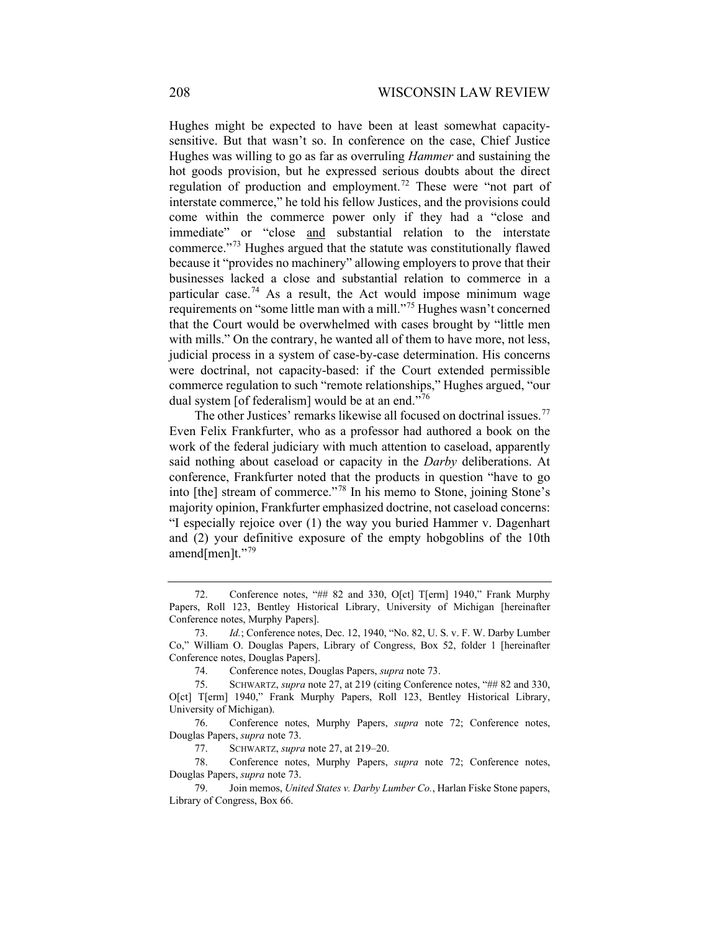<span id="page-13-2"></span><span id="page-13-1"></span>Hughes might be expected to have been at least somewhat capacitysensitive. But that wasn't so. In conference on the case, Chief Justice Hughes was willing to go as far as overruling *Hammer* and sustaining the hot goods provision, but he expressed serious doubts about the direct regulation of production and employment.<sup>[72](#page-13-3)</sup> These were "not part of interstate commerce," he told his fellow Justices, and the provisions could come within the commerce power only if they had a "close and immediate" or "close and substantial relation to the interstate commerce."[73](#page-13-4) Hughes argued that the statute was constitutionally flawed because it "provides no machinery" allowing employers to prove that their businesses lacked a close and substantial relation to commerce in a particular case.<sup>[74](#page-13-5)</sup> As a result, the Act would impose minimum wage requirements on "some little man with a mill."[75](#page-13-6) Hughes wasn't concerned that the Court would be overwhelmed with cases brought by "little men with mills." On the contrary, he wanted all of them to have more, not less, judicial process in a system of case-by-case determination. His concerns were doctrinal, not capacity-based: if the Court extended permissible commerce regulation to such "remote relationships," Hughes argued, "our dual system [of federalism] would be at an end."<sup>[76](#page-13-7)</sup>

<span id="page-13-0"></span>The other Justices' remarks likewise all focused on doctrinal issues.<sup>[77](#page-13-8)</sup> Even Felix Frankfurter, who as a professor had authored a book on the work of the federal judiciary with much attention to caseload, apparently said nothing about caseload or capacity in the *Darby* deliberations. At conference, Frankfurter noted that the products in question "have to go into [the] stream of commerce."[78](#page-13-9) In his memo to Stone, joining Stone's majority opinion, Frankfurter emphasized doctrine, not caseload concerns: "I especially rejoice over (1) the way you buried Hammer v. Dagenhart and (2) your definitive exposure of the empty hobgoblins of the 10th amend[men]t." $^{79}$  $^{79}$  $^{79}$ 

<span id="page-13-3"></span><sup>72.</sup> Conference notes, "## 82 and 330, O[ct] T[erm] 1940," Frank Murphy Papers, Roll 123, Bentley Historical Library, University of Michigan [hereinafter Conference notes, Murphy Papers].

<span id="page-13-4"></span><sup>73.</sup> *Id.*; Conference notes, Dec. 12, 1940, "No. 82, U. S. v. F. W. Darby Lumber Co," William O. Douglas Papers, Library of Congress, Box 52, folder 1 [hereinafter Conference notes, Douglas Papers].

<sup>74.</sup> Conference notes, Douglas Papers, *supra* not[e 73.](#page-13-1)

<span id="page-13-6"></span><span id="page-13-5"></span><sup>75.</sup> SCHWARTZ, *supra* not[e 27,](#page-5-7) at 219 (citing Conference notes, "## 82 and 330, O[ct] T[erm] 1940," Frank Murphy Papers, Roll 123, Bentley Historical Library, University of Michigan).

<span id="page-13-7"></span><sup>76.</sup> Conference notes, Murphy Papers, *supra* note [72;](#page-13-2) Conference notes, Douglas Papers, *supra* note [73.](#page-13-1)

<sup>77.</sup> SCHWARTZ, *supra* note [27,](#page-5-7) at 219–20.

<span id="page-13-9"></span><span id="page-13-8"></span><sup>78.</sup> Conference notes, Murphy Papers, *supra* note [72;](#page-13-2) Conference notes, Douglas Papers, *supra* note [73.](#page-13-1)

<span id="page-13-10"></span><sup>79.</sup> Join memos, *United States v. Darby Lumber Co.*, Harlan Fiske Stone papers, Library of Congress, Box 66.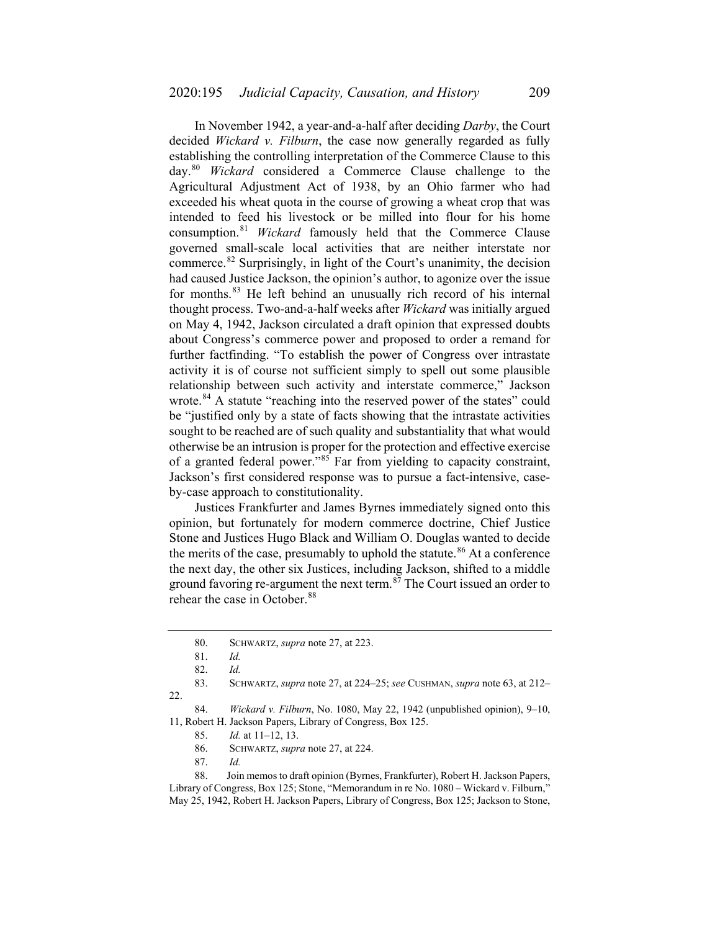In November 1942, a year-and-a-half after deciding *Darby*, the Court decided *Wickard v. Filburn*, the case now generally regarded as fully establishing the controlling interpretation of the Commerce Clause to this day.[80](#page-14-0) *Wickard* considered a Commerce Clause challenge to the Agricultural Adjustment Act of 1938, by an Ohio farmer who had exceeded his wheat quota in the course of growing a wheat crop that was intended to feed his livestock or be milled into flour for his home consumption.[81](#page-14-1) *Wickard* famously held that the Commerce Clause governed small-scale local activities that are neither interstate nor commerce.[82](#page-14-2) Surprisingly, in light of the Court's unanimity, the decision had caused Justice Jackson, the opinion's author, to agonize over the issue for months.[83](#page-14-3) He left behind an unusually rich record of his internal thought process. Two-and-a-half weeks after *Wickard* was initially argued on May 4, 1942, Jackson circulated a draft opinion that expressed doubts about Congress's commerce power and proposed to order a remand for further factfinding. "To establish the power of Congress over intrastate activity it is of course not sufficient simply to spell out some plausible relationship between such activity and interstate commerce," Jackson wrote.<sup>[84](#page-14-4)</sup> A statute "reaching into the reserved power of the states" could be "justified only by a state of facts showing that the intrastate activities sought to be reached are of such quality and substantiality that what would otherwise be an intrusion is proper for the protection and effective exercise of a granted federal power."<sup>[85](#page-14-5)</sup> Far from yielding to capacity constraint, Jackson's first considered response was to pursue a fact-intensive, caseby-case approach to constitutionality.

Justices Frankfurter and James Byrnes immediately signed onto this opinion, but fortunately for modern commerce doctrine, Chief Justice Stone and Justices Hugo Black and William O. Douglas wanted to decide the merits of the case, presumably to uphold the statute.<sup>[86](#page-14-6)</sup> At a conference the next day, the other six Justices, including Jackson, shifted to a middle ground favoring re-argument the next term. $87$  The Court issued an order to rehear the case in October.<sup>[88](#page-14-8)</sup>

<span id="page-14-4"></span><span id="page-14-3"></span><span id="page-14-2"></span><span id="page-14-1"></span><span id="page-14-0"></span>83. SCHWARTZ, *supra* not[e 27,](#page-5-7) at 224–25; *see* CUSHMAN, *supra* note [63,](#page-11-10) at 212– 22.

87. *Id.*

<span id="page-14-8"></span><span id="page-14-7"></span><span id="page-14-6"></span>88. Join memos to draft opinion (Byrnes, Frankfurter), Robert H. Jackson Papers, Library of Congress, Box 125; Stone, "Memorandum in re No. 1080 – Wickard v. Filburn," May 25, 1942, Robert H. Jackson Papers, Library of Congress, Box 125; Jackson to Stone,

<sup>80.</sup> SCHWARTZ, *supra* note [27,](#page-5-7) at 223.

<sup>81.</sup> *Id.*

<sup>82.</sup> *Id.*

<span id="page-14-5"></span><sup>84.</sup> *Wickard v. Filburn*, No. 1080, May 22, 1942 (unpublished opinion), 9–10, 11, Robert H. Jackson Papers, Library of Congress, Box 125.

<sup>85.</sup> *Id.* at 11–12, 13.

<sup>86.</sup> SCHWARTZ, *supra* note [27,](#page-5-7) at 224.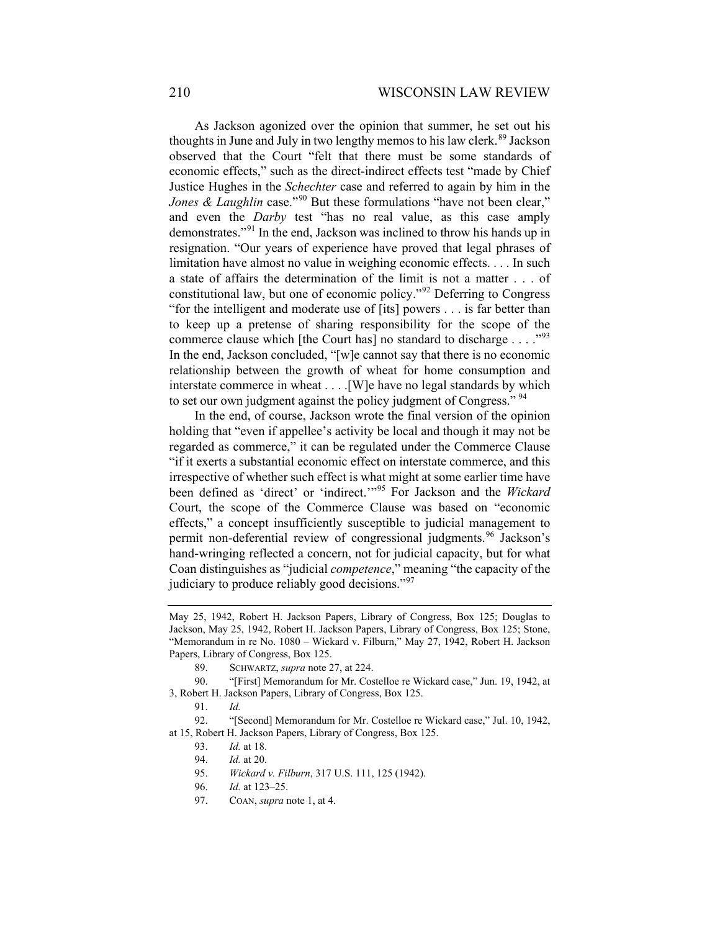As Jackson agonized over the opinion that summer, he set out his thoughts in June and July in two lengthy memos to his law clerk.<sup>[89](#page-15-0)</sup> Jackson observed that the Court "felt that there must be some standards of economic effects," such as the direct-indirect effects test "made by Chief Justice Hughes in the *Schechter* case and referred to again by him in the *Jones & Laughlin* case."<sup>[90](#page-15-1)</sup> But these formulations "have not been clear," and even the *Darby* test "has no real value, as this case amply demonstrates."[91](#page-15-2) In the end, Jackson was inclined to throw his hands up in resignation. "Our years of experience have proved that legal phrases of limitation have almost no value in weighing economic effects. . . . In such a state of affairs the determination of the limit is not a matter . . . of constitutional law, but one of economic policy."[92](#page-15-3) Deferring to Congress "for the intelligent and moderate use of [its] powers . . . is far better than to keep up a pretense of sharing responsibility for the scope of the commerce clause which [the Court has] no standard to discharge . . . ."[93](#page-15-4) In the end, Jackson concluded, "[w]e cannot say that there is no economic relationship between the growth of wheat for home consumption and interstate commerce in wheat . . . .[W]e have no legal standards by which to set our own judgment against the policy judgment of Congress."<sup>[94](#page-15-5)</sup>

In the end, of course, Jackson wrote the final version of the opinion holding that "even if appellee's activity be local and though it may not be regarded as commerce," it can be regulated under the Commerce Clause "if it exerts a substantial economic effect on interstate commerce, and this irrespective of whether such effect is what might at some earlier time have been defined as 'direct' or 'indirect.'"[95](#page-15-6) For Jackson and the *Wickard* Court, the scope of the Commerce Clause was based on "economic effects," a concept insufficiently susceptible to judicial management to permit non-deferential review of congressional judgments.<sup>[96](#page-15-7)</sup> Jackson's hand-wringing reflected a concern, not for judicial capacity, but for what Coan distinguishes as "judicial *competence*," meaning "the capacity of the judiciary to produce reliably good decisions."<sup>[97](#page-15-8)</sup>

May 25, 1942, Robert H. Jackson Papers, Library of Congress, Box 125; Douglas to Jackson, May 25, 1942, Robert H. Jackson Papers, Library of Congress, Box 125; Stone, "Memorandum in re No. 1080 – Wickard v. Filburn," May 27, 1942, Robert H. Jackson Papers, Library of Congress, Box 125.

<sup>89.</sup> SCHWARTZ, *supra* note [27,](#page-5-7) at 224.

<span id="page-15-1"></span><span id="page-15-0"></span><sup>90.</sup> "[First] Memorandum for Mr. Costelloe re Wickard case," Jun. 19, 1942, at 3, Robert H. Jackson Papers, Library of Congress, Box 125.

<sup>91.</sup> *Id.*

<span id="page-15-8"></span><span id="page-15-7"></span><span id="page-15-6"></span><span id="page-15-5"></span><span id="page-15-4"></span><span id="page-15-3"></span><span id="page-15-2"></span><sup>92.</sup> "[Second] Memorandum for Mr. Costelloe re Wickard case," Jul. 10, 1942, at 15, Robert H. Jackson Papers, Library of Congress, Box 125.

<sup>93.</sup> *Id.* at 18.

<sup>94.</sup> *Id.* at 20.

<sup>95.</sup> *Wickard v. Filburn*, 317 U.S. 111, 125 (1942).

<sup>96.</sup> *Id.* at 123–25.

<sup>97.</sup> COAN, *supra* not[e 1,](#page-0-6) at 4.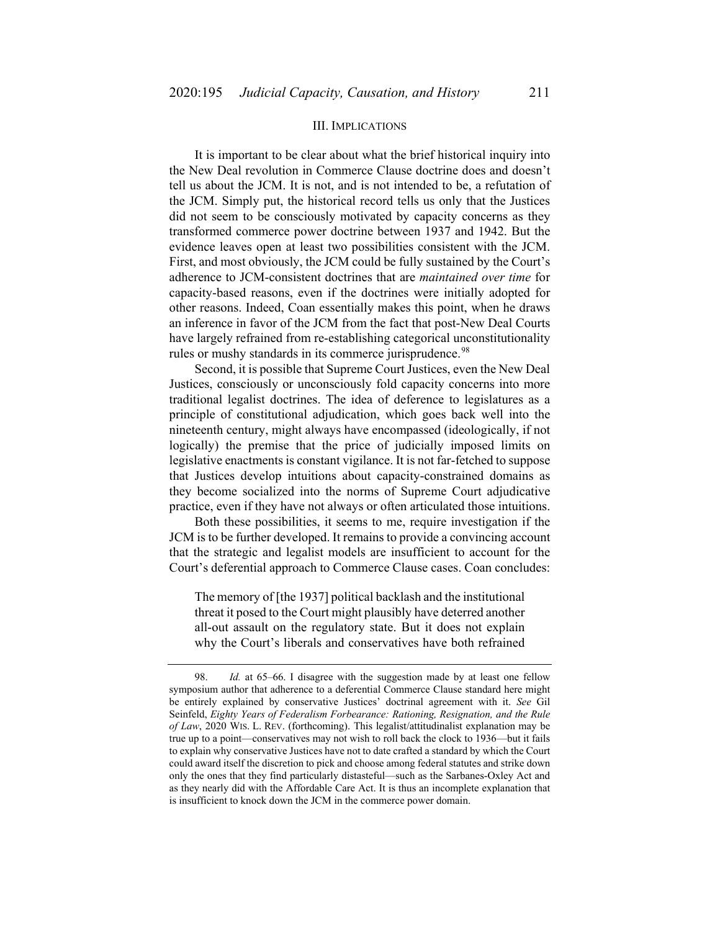## III. IMPLICATIONS

It is important to be clear about what the brief historical inquiry into the New Deal revolution in Commerce Clause doctrine does and doesn't tell us about the JCM. It is not, and is not intended to be, a refutation of the JCM. Simply put, the historical record tells us only that the Justices did not seem to be consciously motivated by capacity concerns as they transformed commerce power doctrine between 1937 and 1942. But the evidence leaves open at least two possibilities consistent with the JCM. First, and most obviously, the JCM could be fully sustained by the Court's adherence to JCM-consistent doctrines that are *maintained over time* for capacity-based reasons, even if the doctrines were initially adopted for other reasons. Indeed, Coan essentially makes this point, when he draws an inference in favor of the JCM from the fact that post-New Deal Courts have largely refrained from re-establishing categorical unconstitutionality rules or mushy standards in its commerce jurisprudence.<sup>[98](#page-16-0)</sup>

Second, it is possible that Supreme Court Justices, even the New Deal Justices, consciously or unconsciously fold capacity concerns into more traditional legalist doctrines. The idea of deference to legislatures as a principle of constitutional adjudication, which goes back well into the nineteenth century, might always have encompassed (ideologically, if not logically) the premise that the price of judicially imposed limits on legislative enactments is constant vigilance. It is not far-fetched to suppose that Justices develop intuitions about capacity-constrained domains as they become socialized into the norms of Supreme Court adjudicative practice, even if they have not always or often articulated those intuitions.

Both these possibilities, it seems to me, require investigation if the JCM is to be further developed. It remains to provide a convincing account that the strategic and legalist models are insufficient to account for the Court's deferential approach to Commerce Clause cases. Coan concludes:

The memory of [the 1937] political backlash and the institutional threat it posed to the Court might plausibly have deterred another all-out assault on the regulatory state. But it does not explain why the Court's liberals and conservatives have both refrained

<span id="page-16-0"></span><sup>98.</sup> *Id.* at 65–66. I disagree with the suggestion made by at least one fellow symposium author that adherence to a deferential Commerce Clause standard here might be entirely explained by conservative Justices' doctrinal agreement with it. *See* Gil Seinfeld, *Eighty Years of Federalism Forbearance: Rationing, Resignation, and the Rule of Law*, 2020 WIS. L. REV. (forthcoming). This legalist/attitudinalist explanation may be true up to a point—conservatives may not wish to roll back the clock to 1936—but it fails to explain why conservative Justices have not to date crafted a standard by which the Court could award itself the discretion to pick and choose among federal statutes and strike down only the ones that they find particularly distasteful—such as the Sarbanes-Oxley Act and as they nearly did with the Affordable Care Act. It is thus an incomplete explanation that is insufficient to knock down the JCM in the commerce power domain.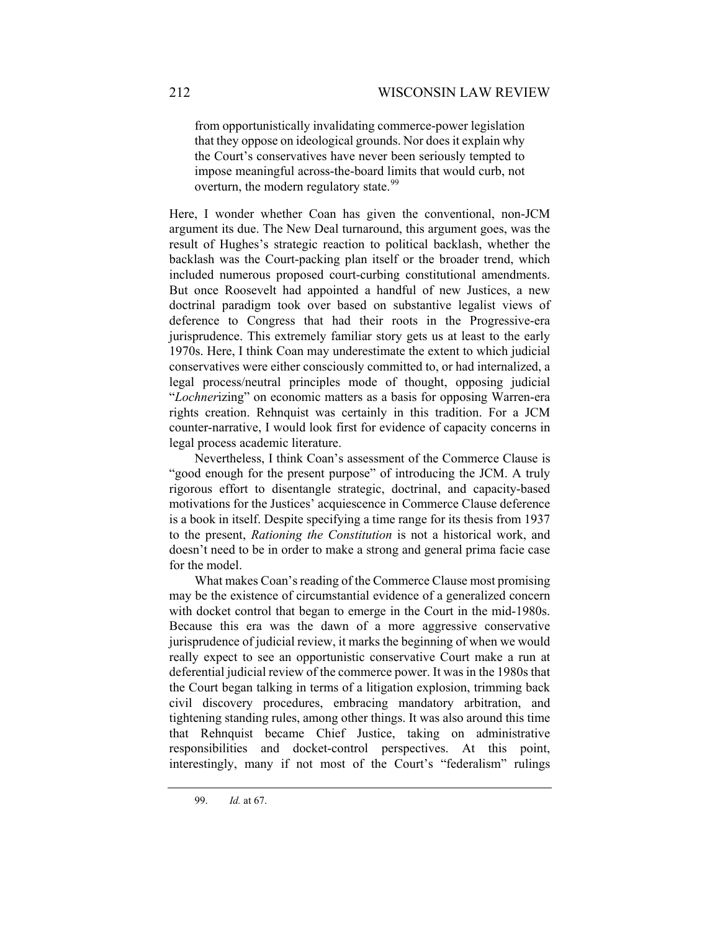from opportunistically invalidating commerce-power legislation that they oppose on ideological grounds. Nor does it explain why the Court's conservatives have never been seriously tempted to impose meaningful across-the-board limits that would curb, not overturn, the modern regulatory state.<sup>[99](#page-17-0)</sup>

Here, I wonder whether Coan has given the conventional, non-JCM argument its due. The New Deal turnaround, this argument goes, was the result of Hughes's strategic reaction to political backlash, whether the backlash was the Court-packing plan itself or the broader trend, which included numerous proposed court-curbing constitutional amendments. But once Roosevelt had appointed a handful of new Justices, a new doctrinal paradigm took over based on substantive legalist views of deference to Congress that had their roots in the Progressive-era jurisprudence. This extremely familiar story gets us at least to the early 1970s. Here, I think Coan may underestimate the extent to which judicial conservatives were either consciously committed to, or had internalized, a legal process/neutral principles mode of thought, opposing judicial "*Lochner*izing" on economic matters as a basis for opposing Warren-era rights creation. Rehnquist was certainly in this tradition. For a JCM counter-narrative, I would look first for evidence of capacity concerns in legal process academic literature.

Nevertheless, I think Coan's assessment of the Commerce Clause is "good enough for the present purpose" of introducing the JCM. A truly rigorous effort to disentangle strategic, doctrinal, and capacity-based motivations for the Justices' acquiescence in Commerce Clause deference is a book in itself. Despite specifying a time range for its thesis from 1937 to the present, *Rationing the Constitution* is not a historical work, and doesn't need to be in order to make a strong and general prima facie case for the model.

What makes Coan's reading of the Commerce Clause most promising may be the existence of circumstantial evidence of a generalized concern with docket control that began to emerge in the Court in the mid-1980s. Because this era was the dawn of a more aggressive conservative jurisprudence of judicial review, it marks the beginning of when we would really expect to see an opportunistic conservative Court make a run at deferential judicial review of the commerce power. It was in the 1980s that the Court began talking in terms of a litigation explosion, trimming back civil discovery procedures, embracing mandatory arbitration, and tightening standing rules, among other things. It was also around this time that Rehnquist became Chief Justice, taking on administrative responsibilities and docket-control perspectives. At this point, interestingly, many if not most of the Court's "federalism" rulings

<span id="page-17-0"></span><sup>99.</sup> *Id.* at 67.